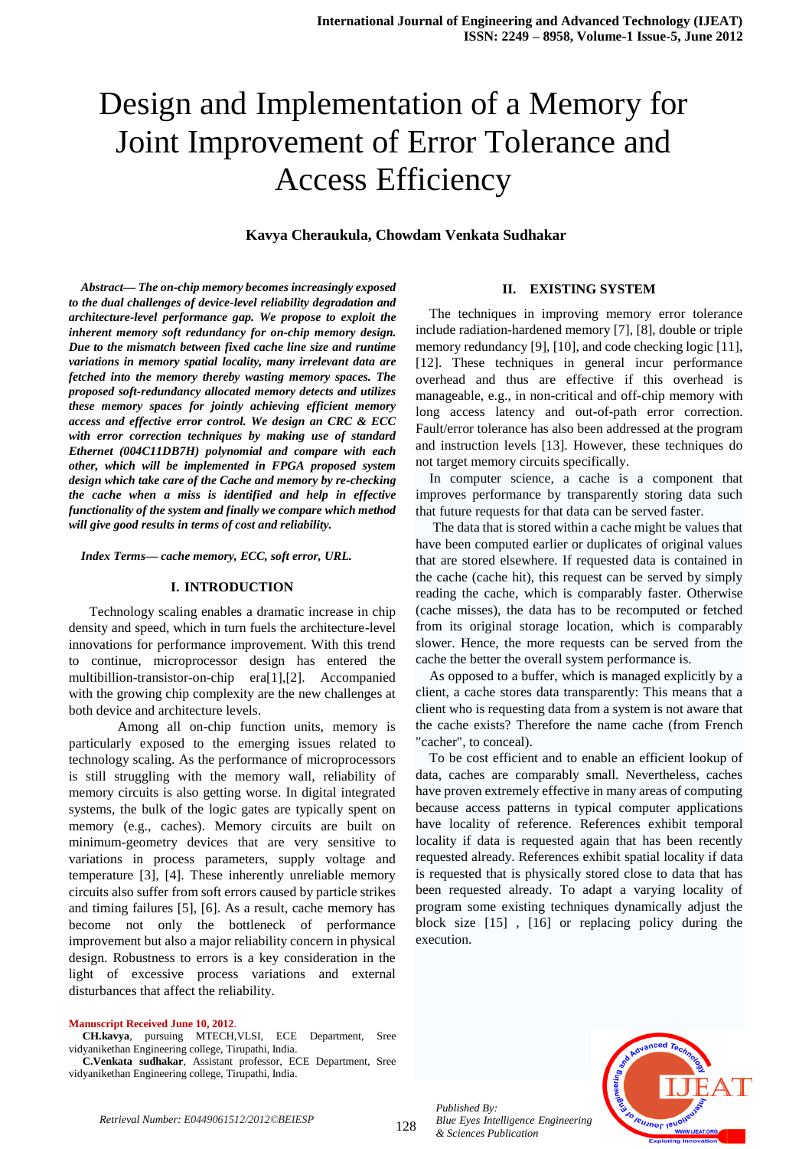# Design and Implementation of a Memory for Joint Improvement of Error Tolerance and Access Efficiency

## **Kavya Cheraukula, Chowdam Venkata Sudhakar**

*Abstract— The on-chip memory becomes increasingly exposed to the dual challenges of device-level reliability degradation and architecture-level performance gap. We propose to exploit the inherent memory soft redundancy for on-chip memory design. Due to the mismatch between fixed cache line size and runtime variations in memory spatial locality, many irrelevant data are fetched into the memory thereby wasting memory spaces. The proposed soft-redundancy allocated memory detects and utilizes these memory spaces for jointly achieving efficient memory access and effective error control. We design an CRC & ECC with error correction techniques by making use of standard Ethernet (004C11DB7H) polynomial and compare with each other, which will be implemented in FPGA proposed system design which take care of the Cache and memory by re-checking the cache when a miss is identified and help in effective functionality of the system and finally we compare which method will give good results in terms of cost and reliability.*

*Index Terms— cache memory, ECC, soft error, URL.*

#### **I. INTRODUCTION**

 Technology scaling enables a dramatic increase in chip density and speed, which in turn fuels the architecture-level innovations for performance improvement. With this trend to continue, microprocessor design has entered the multibillion-transistor-on-chip era[1],[2]. Accompanied with the growing chip complexity are the new challenges at both device and architecture levels.

Among all on-chip function units, memory is particularly exposed to the emerging issues related to technology scaling. As the performance of microprocessors is still struggling with the memory wall, reliability of memory circuits is also getting worse. In digital integrated systems, the bulk of the logic gates are typically spent on memory (e.g., caches). Memory circuits are built on minimum-geometry devices that are very sensitive to variations in process parameters, supply voltage and temperature [3], [4]. These inherently unreliable memory circuits also suffer from soft errors caused by particle strikes and timing failures [5], [6]. As a result, cache memory has become not only the bottleneck of performance improvement but also a major reliability concern in physical design. Robustness to errors is a key consideration in the light of excessive process variations and external disturbances that affect the reliability.

#### **Manuscript Received June 10, 2012**.

**CH.kavya**, pursuing MTECH,VLSI, ECE Department, Sree vidyanikethan Engineering college, Tirupathi, India.

**C.Venkata sudhakar**, Assistant professor, ECE Department, Sree vidyanikethan Engineering college, Tirupathi, India.

#### **II. EXISTING SYSTEM**

The techniques in improving memory error tolerance include radiation-hardened memory [7], [8], double or triple memory redundancy [9], [10], and code checking logic [11], [12]. These techniques in general incur performance overhead and thus are effective if this overhead is manageable, e.g., in non-critical and off-chip memory with long access latency and out-of-path error correction. Fault/error tolerance has also been addressed at the program and instruction levels [13]. However, these techniques do not target memory circuits specifically.

In [computer science,](http://en.wikipedia.org/wiki/Computer_science) a cache is a component that improves performance by transparently storing data such that future requests for that data can be served faster.

The data that is stored within a cache might be values that have been computed earlier or duplicates of original values that are stored elsewhere. If requested data is contained in the cache (cache hit), this request can be served by simply reading the cache, which is comparably faster. Otherwise (cache misses), the data has to be recomputed or fetched from its original storage location, which is comparably slower. Hence, the more requests can be served from the cache the better the overall system performance is.

As opposed to a buffer, which is managed explicitly by a client, a cache stores data transparently: This means that a client who is requesting data from a system is not aware that the cache exists? Therefore the name cache (from French "cacher", to conceal).

To be cost efficient and to enable an efficient lookup of data, caches are comparably small. Nevertheless, caches have proven extremely effective in many areas of computing because access patterns in typical [computer applications](http://en.wikipedia.org/wiki/Application_software) have [locality of reference.](http://en.wikipedia.org/wiki/Locality_of_reference) References exhibit [temporal](http://en.wikipedia.org/wiki/Memory_locality)  [locality](http://en.wikipedia.org/wiki/Memory_locality) if data is requested again that has been recently requested already. References exhibit [spatial locality](http://en.wikipedia.org/wiki/Spatial_locality) if data is requested that is physically stored close to data that has been requested already. To adapt a varying locality of program some existing techniques dynamically adjust the block size [15] , [16] or replacing policy during the execution.

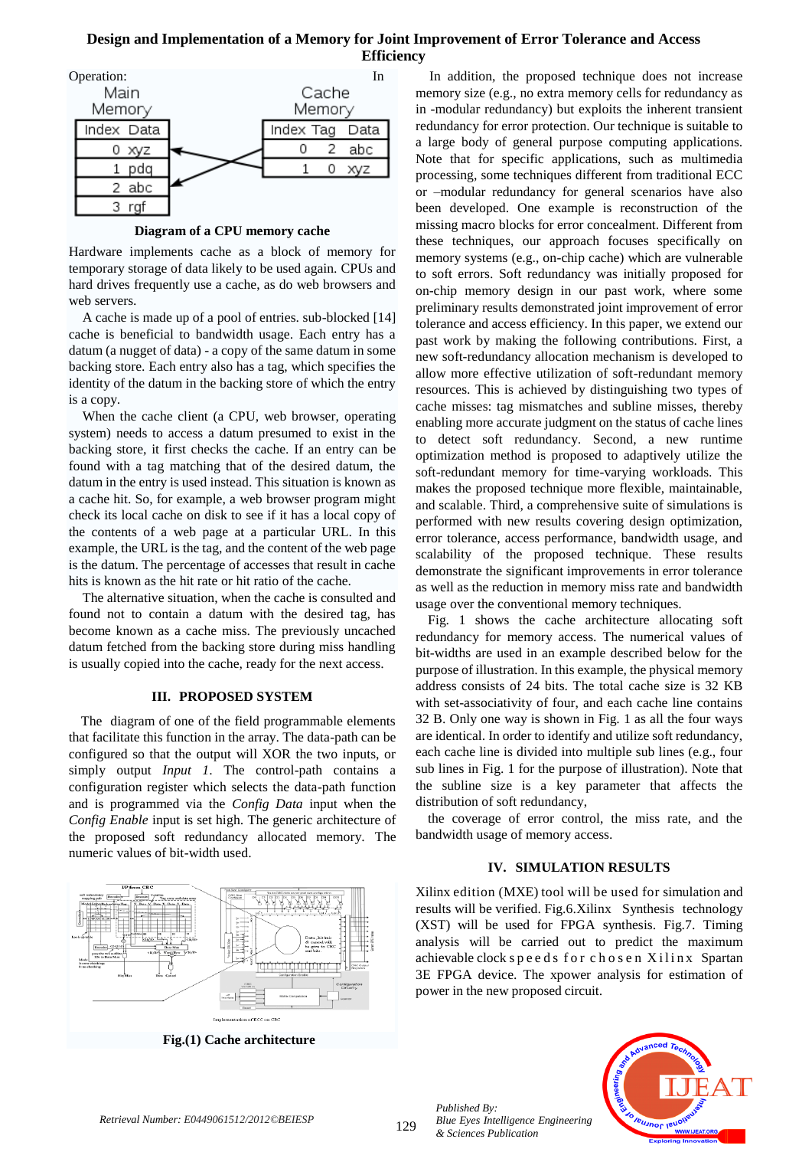# **Design and Implementation of a Memory for Joint Improvement of Error Tolerance and Access Efficiency**



**Diagram of a CPU memory cache**

Hardware implements cache as a block of memory for temporary storage of data likely to be used again. [CPUs](http://en.wikipedia.org/wiki/CPU) and [hard drives](http://en.wikipedia.org/wiki/Hard_drive) frequently use a cache, as do web browsers and web servers.

A cache is made up of a pool of entries. sub-blocked [14] cache is beneficial to bandwidth usage. Each entry has a datum (a nugget of data) - a copy of the same datum in some backing store. Each entry also has a tag, which specifies the identity of the datum in the backing store of which the entry is a copy.

When the cache client (a CPU, web browser, [operating](http://en.wikipedia.org/wiki/Operating_system)  [system\)](http://en.wikipedia.org/wiki/Operating_system) needs to access a datum presumed to exist in the backing store, it first checks the cache. If an entry can be found with a tag matching that of the desired datum, the datum in the entry is used instead. This situation is known as a cache hit. So, for example, a web browser program might check its local cache on disk to see if it has a local copy of the contents of a web page at a particular URL. In this example, the URL is the tag, and the content of the web page is the datum. The percentage of accesses that result in cache hits is known as the hit rate or hit ratio of the cache.

The alternative situation, when the cache is consulted and found not to contain a datum with the desired tag, has become known as a cache miss. The previously uncached datum fetched from the backing store during miss handling is usually copied into the cache, ready for the next access.

## **III. PROPOSED SYSTEM**

The diagram of one of the field programmable elements that facilitate this function in the array. The data-path can be configured so that the output will XOR the two inputs, or simply output *Input 1*. The control-path contains a configuration register which selects the data-path function and is programmed via the *Config Data* input when the *Config Enable* input is set high. The generic architecture of the proposed soft redundancy allocated memory. The numeric values of bit-width used.



memory size (e.g., no extra memory cells for redundancy as in -modular redundancy) but exploits the inherent transient redundancy for error protection. Our technique is suitable to a large body of general purpose computing applications. Note that for specific applications, such as multimedia processing, some techniques different from traditional ECC or –modular redundancy for general scenarios have also been developed. One example is reconstruction of the missing macro blocks for error concealment. Different from these techniques, our approach focuses specifically on memory systems (e.g., on-chip cache) which are vulnerable to soft errors. Soft redundancy was initially proposed for on-chip memory design in our past work, where some preliminary results demonstrated joint improvement of error tolerance and access efficiency. In this paper, we extend our past work by making the following contributions. First, a new soft-redundancy allocation mechanism is developed to allow more effective utilization of soft-redundant memory resources. This is achieved by distinguishing two types of cache misses: tag mismatches and subline misses, thereby enabling more accurate judgment on the status of cache lines to detect soft redundancy. Second, a new runtime optimization method is proposed to adaptively utilize the soft-redundant memory for time-varying workloads. This makes the proposed technique more flexible, maintainable, and scalable. Third, a comprehensive suite of simulations is performed with new results covering design optimization, error tolerance, access performance, bandwidth usage, and scalability of the proposed technique. These results demonstrate the significant improvements in error tolerance as well as the reduction in memory miss rate and bandwidth

usage over the conventional memory techniques. Fig. 1 shows the cache architecture allocating soft redundancy for memory access. The numerical values of bit-widths are used in an example described below for the purpose of illustration. In this example, the physical memory address consists of 24 bits. The total cache size is 32 KB with set-associativity of four, and each cache line contains 32 B. Only one way is shown in Fig. 1 as all the four ways are identical. In order to identify and utilize soft redundancy, each cache line is divided into multiple sub lines (e.g., four sub lines in Fig. 1 for the purpose of illustration). Note that the subline size is a key parameter that affects the distribution of soft redundancy,

the coverage of error control, the miss rate, and the bandwidth usage of memory access.

# **IV. SIMULATION RESULTS**

Xilinx edition (MXE) tool will be used for simulation and results will be verified. Fig.6.Xilinx Synthesis technology (XST) will be used for FPGA synthesis. Fig.7. Timing analysis will be carried out to predict the maximum achievable clock speeds for chosen Xilinx Spartan 3E FPGA device. The xpower analysis for estimation of power in the new proposed circuit.



*Published By:*

*& Sciences Publication* 

*Blue Eyes Intelligence Engineering*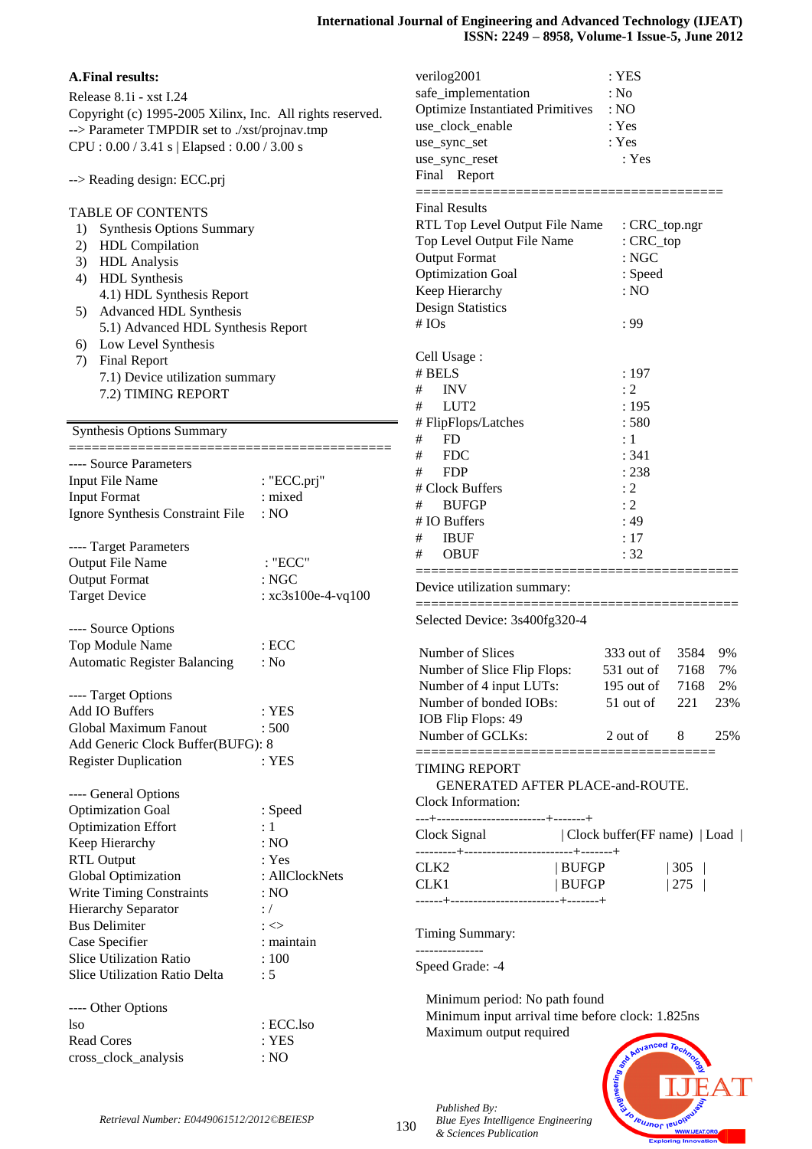| <b>A.Final results:</b>                                   |                          | verilog2001                                                                          | : <b>YES</b>              |                                                     |           |  |  |  |
|-----------------------------------------------------------|--------------------------|--------------------------------------------------------------------------------------|---------------------------|-----------------------------------------------------|-----------|--|--|--|
| Release 8.1i - xst I.24                                   |                          | safe_implementation                                                                  | : No                      |                                                     |           |  |  |  |
| Copyright (c) 1995-2005 Xilinx, Inc. All rights reserved. |                          | <b>Optimize Instantiated Primitives</b>                                              | :NO                       |                                                     |           |  |  |  |
| --> Parameter TMPDIR set to ./xst/projnav.tmp             |                          | use_clock_enable<br>: Yes                                                            |                           |                                                     |           |  |  |  |
| CPU: 0.00 / 3.41 s   Elapsed: 0.00 / 3.00 s               |                          | use_sync_set                                                                         | : Yes                     |                                                     |           |  |  |  |
|                                                           |                          | use_sync_reset                                                                       | : Yes                     |                                                     |           |  |  |  |
| --> Reading design: ECC.prj                               |                          | Final Report<br>======================                                               |                           |                                                     |           |  |  |  |
| <b>TABLE OF CONTENTS</b>                                  |                          | <b>Final Results</b>                                                                 |                           |                                                     |           |  |  |  |
| <b>Synthesis Options Summary</b><br>1)                    |                          | RTL Top Level Output File Name<br>: CRC_top.ngr                                      |                           |                                                     |           |  |  |  |
| <b>HDL</b> Compilation<br>2)                              |                          | Top Level Output File Name<br>$:$ CRC_top                                            |                           |                                                     |           |  |  |  |
| <b>HDL</b> Analysis<br>3)                                 |                          | <b>Output Format</b>                                                                 | : NGC                     |                                                     |           |  |  |  |
| <b>HDL</b> Synthesis<br>4)                                |                          | <b>Optimization Goal</b>                                                             | : Speed                   |                                                     |           |  |  |  |
| 4.1) HDL Synthesis Report                                 |                          | Keep Hierarchy                                                                       | :NO                       |                                                     |           |  |  |  |
| Advanced HDL Synthesis<br>5)                              |                          | <b>Design Statistics</b>                                                             |                           |                                                     |           |  |  |  |
| 5.1) Advanced HDL Synthesis Report                        |                          | # IOs                                                                                | : 99                      |                                                     |           |  |  |  |
| Low Level Synthesis<br>6)                                 |                          |                                                                                      |                           |                                                     |           |  |  |  |
| <b>Final Report</b><br>7)                                 |                          | Cell Usage:                                                                          |                           |                                                     |           |  |  |  |
| 7.1) Device utilization summary                           |                          | # BELS                                                                               | :197                      |                                                     |           |  |  |  |
| 7.2) TIMING REPORT                                        |                          | <b>INV</b><br>#                                                                      | : 2                       |                                                     |           |  |  |  |
|                                                           |                          | LUT2<br>#                                                                            | : 195                     |                                                     |           |  |  |  |
| <b>Synthesis Options Summary</b>                          |                          | # FlipFlops/Latches                                                                  | :580                      |                                                     |           |  |  |  |
| =============                                             |                          | FD<br>$\#$<br>$\#$<br><b>FDC</b>                                                     | $\div 1$<br>: 341         |                                                     |           |  |  |  |
| ---- Source Parameters                                    |                          |                                                                                      |                           |                                                     |           |  |  |  |
| Input File Name                                           | : "ECC.prj"              | <b>FDP</b><br>$\#$<br># Clock Buffers                                                | : 238<br>$\div 2$         |                                                     |           |  |  |  |
| <b>Input Format</b>                                       | : mixed                  | <b>BUFGP</b>                                                                         | : 2                       |                                                     |           |  |  |  |
| Ignore Synthesis Constraint File                          | :NO                      | $\#$<br># IO Buffers                                                                 | :49                       |                                                     |           |  |  |  |
|                                                           |                          | <b>IBUF</b><br>#                                                                     | :17                       |                                                     |           |  |  |  |
| ---- Target Parameters                                    |                          | <b>OBUF</b><br>$\#$                                                                  | :32                       |                                                     |           |  |  |  |
| <b>Output File Name</b>                                   | : "ECC"                  |                                                                                      |                           |                                                     |           |  |  |  |
| <b>Output Format</b>                                      | : NGC                    | Device utilization summary:                                                          |                           |                                                     |           |  |  |  |
| <b>Target Device</b>                                      | $: xc3s100e-4-vq100$     |                                                                                      |                           |                                                     |           |  |  |  |
| ---- Source Options                                       |                          | Selected Device: 3s400fg320-4                                                        |                           |                                                     |           |  |  |  |
| Top Module Name                                           | ECC                      |                                                                                      |                           |                                                     |           |  |  |  |
| <b>Automatic Register Balancing</b>                       | Number of Slices<br>: No |                                                                                      | 333 out of                | 3584                                                | 9%        |  |  |  |
|                                                           |                          | Number of Slice Flip Flops:                                                          | 531 out of<br>195 out of  | 7168                                                | 7%        |  |  |  |
| ---- Target Options                                       |                          | Number of 4 input LUTs:<br>Number of bonded IOBs:                                    | 51 out of                 | 7168<br>221                                         | 2%<br>23% |  |  |  |
| Add IO Buffers                                            | : <b>YES</b>             | IOB Flip Flops: 49                                                                   |                           |                                                     |           |  |  |  |
| Global Maximum Fanout                                     | :500                     | Number of GCLKs:                                                                     | 2 out of                  | 8                                                   | 25%       |  |  |  |
| Add Generic Clock Buffer(BUFG): 8                         |                          | =========================                                                            |                           |                                                     |           |  |  |  |
| <b>Register Duplication</b>                               | : <b>YES</b>             | <b>TIMING REPORT</b><br>GENERATED AFTER PLACE-and-ROUTE.                             |                           |                                                     |           |  |  |  |
| ---- General Options                                      |                          | Clock Information:                                                                   |                           |                                                     |           |  |  |  |
| <b>Optimization Goal</b>                                  | : Speed                  | ---+------------------------+-------+                                                |                           |                                                     |           |  |  |  |
| <b>Optimization Effort</b>                                | $\colon$ 1               | Clock Signal   Clock buffer(FF name)   Load                                          |                           |                                                     |           |  |  |  |
| Keep Hierarchy                                            | :NO                      |                                                                                      |                           |                                                     |           |  |  |  |
| <b>RTL Output</b>                                         | : Yes                    | CLK <sub>2</sub>                                                                     | BUFGP                     | 305                                                 |           |  |  |  |
| Global Optimization                                       | : AllClockNets           | CLK1                                                                                 | BUFGP                     | 275                                                 |           |  |  |  |
| Write Timing Constraints                                  | :NO                      |                                                                                      |                           |                                                     |           |  |  |  |
| <b>Hierarchy Separator</b>                                | : /                      |                                                                                      |                           |                                                     |           |  |  |  |
| <b>Bus Delimiter</b>                                      | $:$ $\Leftrightarrow$    | Timing Summary:                                                                      |                           |                                                     |           |  |  |  |
| Case Specifier                                            | : maintain               |                                                                                      |                           |                                                     |           |  |  |  |
| <b>Slice Utilization Ratio</b>                            | :100                     | Speed Grade: -4                                                                      |                           |                                                     |           |  |  |  |
| Slice Utilization Ratio Delta                             | : 5                      |                                                                                      |                           |                                                     |           |  |  |  |
|                                                           |                          | Minimum period: No path found                                                        |                           |                                                     |           |  |  |  |
| ---- Other Options                                        |                          | Minimum input arrival time before clock: 1.825ns                                     |                           |                                                     |           |  |  |  |
| <sub>lso</sub>                                            | : ECC.lso                | Maximum output required                                                              |                           |                                                     |           |  |  |  |
| <b>Read Cores</b>                                         | : YES                    |                                                                                      |                           |                                                     |           |  |  |  |
| cross_clock_analysis                                      | :NO                      |                                                                                      |                           |                                                     |           |  |  |  |
|                                                           |                          |                                                                                      |                           |                                                     |           |  |  |  |
| Retrieval Number: E0449061512/2012©BEIESP                 |                          | Published By:<br>Blue Eyes Intelligence Engineering<br>130<br>& Sciences Publication | <b>ESPANANCED TOCINAL</b> | <b>WWW.IJEAT.ORG</b><br><b>Exploring Innovation</b> |           |  |  |  |